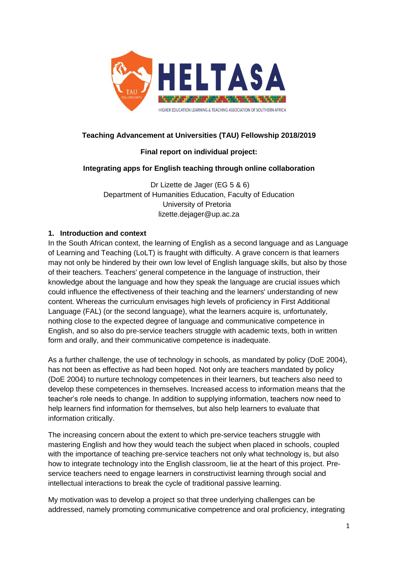

# **Teaching Advancement at Universities (TAU) Fellowship 2018/2019**

## **Final report on individual project:**

## **Integrating apps for English teaching through online collaboration**

Dr Lizette de Jager (EG 5 & 6) Department of Humanities Education, Faculty of Education University of Pretoria lizette.dejager@up.ac.za

### **1. Introduction and context**

In the South African context, the learning of English as a second language and as Language of Learning and Teaching (LoLT) is fraught with difficulty. A grave concern is that learners may not only be hindered by their own low level of English language skills, but also by those of their teachers. Teachers' general competence in the language of instruction, their knowledge about the language and how they speak the language are crucial issues which could influence the effectiveness of their teaching and the learners' understanding of new content. Whereas the curriculum envisages high levels of proficiency in First Additional Language (FAL) (or the second language), what the learners acquire is, unfortunately, nothing close to the expected degree of language and communicative competence in English, and so also do pre-service teachers struggle with academic texts, both in written form and orally, and their communicative competence is inadequate.

As a further challenge, the use of technology in schools, as mandated by policy (DoE 2004), has not been as effective as had been hoped. Not only are teachers mandated by policy (DoE 2004) to nurture technology competences in their learners, but teachers also need to develop these competences in themselves. Increased access to information means that the teacher's role needs to change. In addition to supplying information, teachers now need to help learners find information for themselves, but also help learners to evaluate that information critically.

The increasing concern about the extent to which pre-service teachers struggle with mastering English and how they would teach the subject when placed in schools, coupled with the importance of teaching pre-service teachers not only what technology is, but also how to integrate technology into the English classroom, lie at the heart of this project. Preservice teachers need to engage learners in constructivist learning through social and intellectual interactions to break the cycle of traditional passive learning.

My motivation was to develop a project so that three underlying challenges can be addressed, namely promoting communicative competrence and oral proficiency, integrating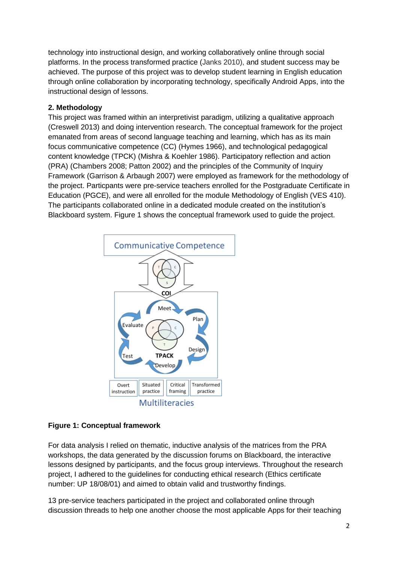technology into instructional design, and working collaboratively online through social platforms. In the process transformed practice (Janks 2010), and student success may be achieved. The purpose of this project was to develop student learning in English education through online collaboration by incorporating technology, specifically Android Apps, into the instructional design of lessons.

## **2. Methodology**

This project was framed within an interpretivist paradigm, utilizing a qualitative approach (Creswell 2013) and doing intervention research. The conceptual framework for the project emanated from areas of second language teaching and learning, which has as its main focus communicative competence (CC) (Hymes 1966), and technological pedagogical content knowledge (TPCK) (Mishra & Koehler 1986). Participatory reflection and action (PRA) (Chambers 2008; Patton 2002) and the principles of the Community of Inquiry Framework (Garrison & Arbaugh 2007) were employed as framework for the methodology of the project. Particpants were pre-service teachers enrolled for the Postgraduate Certificate in Education (PGCE), and were all enrolled for the module Methodology of English (VES 410). The participants collaborated online in a dedicated module created on the institution's Blackboard system. Figure 1 shows the conceptual framework used to guide the project.



# **Figure 1: Conceptual framework**

For data analysis I relied on thematic, inductive analysis of the matrices from the PRA workshops, the data generated by the discussion forums on Blackboard, the interactive lessons designed by participants, and the focus group interviews. Throughout the research project, I adhered to the guidelines for conducting ethical research (Ethics certificate number: UP 18/08/01) and aimed to obtain valid and trustworthy findings.

13 pre-service teachers participated in the project and collaborated online through discussion threads to help one another choose the most applicable Apps for their teaching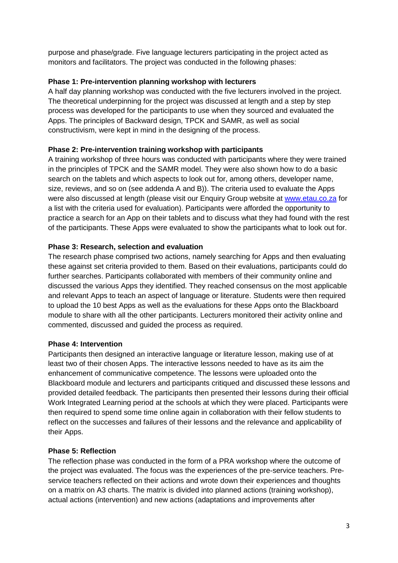purpose and phase/grade. Five language lecturers participating in the project acted as monitors and facilitators. The project was conducted in the following phases:

## **Phase 1: Pre-intervention planning workshop with lecturers**

A half day planning workshop was conducted with the five lecturers involved in the project. The theoretical underpinning for the project was discussed at length and a step by step process was developed for the participants to use when they sourced and evaluated the Apps. The principles of Backward design, TPCK and SAMR, as well as social constructivism, were kept in mind in the designing of the process.

## **Phase 2: Pre-intervention training workshop with participants**

A training workshop of three hours was conducted with participants where they were trained in the principles of TPCK and the SAMR model. They were also shown how to do a basic search on the tablets and which aspects to look out for, among others, developer name, size, reviews, and so on (see addenda A and B)). The criteria used to evaluate the Apps were also discussed at length (please visit our Enquiry Group website at [www.etau.co.za](http://www.etau.co.za/) for a list with the criteria used for evaluation). Participants were afforded the opportunity to practice a search for an App on their tablets and to discuss what they had found with the rest of the participants. These Apps were evaluated to show the participants what to look out for.

### **Phase 3: Research, selection and evaluation**

The research phase comprised two actions, namely searching for Apps and then evaluating these against set criteria provided to them. Based on their evaluations, participants could do further searches. Participants collaborated with members of their community online and discussed the various Apps they identified. They reached consensus on the most applicable and relevant Apps to teach an aspect of language or literature. Students were then required to upload the 10 best Apps as well as the evaluations for these Apps onto the Blackboard module to share with all the other participants. Lecturers monitored their activity online and commented, discussed and guided the process as required.

#### **Phase 4: Intervention**

Participants then designed an interactive language or literature lesson, making use of at least two of their chosen Apps. The interactive lessons needed to have as its aim the enhancement of communicative competence. The lessons were uploaded onto the Blackboard module and lecturers and participants critiqued and discussed these lessons and provided detailed feedback. The participants then presented their lessons during their official Work Integrated Learning period at the schools at which they were placed. Participants were then required to spend some time online again in collaboration with their fellow students to reflect on the successes and failures of their lessons and the relevance and applicability of their Apps.

## **Phase 5: Reflection**

The reflection phase was conducted in the form of a PRA workshop where the outcome of the project was evaluated. The focus was the experiences of the pre-service teachers. Preservice teachers reflected on their actions and wrote down their experiences and thoughts on a matrix on A3 charts. The matrix is divided into planned actions (training workshop), actual actions (intervention) and new actions (adaptations and improvements after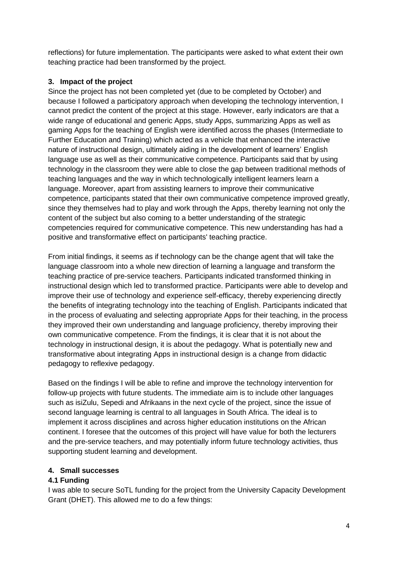reflections) for future implementation. The participants were asked to what extent their own teaching practice had been transformed by the project.

# **3. Impact of the project**

Since the project has not been completed yet (due to be completed by October) and because I followed a participatory approach when developing the technology intervention, I cannot predict the content of the project at this stage. However, early indicators are that a wide range of educational and generic Apps, study Apps, summarizing Apps as well as gaming Apps for the teaching of English were identified across the phases (Intermediate to Further Education and Training) which acted as a vehicle that enhanced the interactive nature of instructional design, ultimately aiding in the development of learners' English language use as well as their communicative competence. Participants said that by using technology in the classroom they were able to close the gap between traditional methods of teaching languages and the way in which technologically intelligent learners learn a language. Moreover, apart from assisting learners to improve their communicative competence, participants stated that their own communicative competence improved greatly, since they themselves had to play and work through the Apps, thereby learning not only the content of the subject but also coming to a better understanding of the strategic competencies required for communicative competence. This new understanding has had a positive and transformative effect on participants' teaching practice.

From initial findings, it seems as if technology can be the change agent that will take the language classroom into a whole new direction of learning a language and transform the teaching practice of pre-service teachers. Participants indicated transformed thinking in instructional design which led to transformed practice. Participants were able to develop and improve their use of technology and experience self-efficacy, thereby experiencing directly the benefits of integrating technology into the teaching of English. Participants indicated that in the process of evaluating and selecting appropriate Apps for their teaching, in the process they improved their own understanding and language proficiency, thereby improving their own communicative competence. From the findings, it is clear that it is not about the technology in instructional design, it is about the pedagogy. What is potentially new and transformative about integrating Apps in instructional design is a change from didactic pedagogy to reflexive pedagogy.

Based on the findings I will be able to refine and improve the technology intervention for follow-up projects with future students. The immediate aim is to include other languages such as isiZulu, Sepedi and Afrikaans in the next cycle of the project, since the issue of second language learning is central to all languages in South Africa. The ideal is to implement it across disciplines and across higher education institutions on the African continent. I foresee that the outcomes of this project will have value for both the lecturers and the pre-service teachers, and may potentially inform future technology activities, thus supporting student learning and development.

## **4. Small successes**

## **4.1 Funding**

I was able to secure SoTL funding for the project from the University Capacity Development Grant (DHET). This allowed me to do a few things: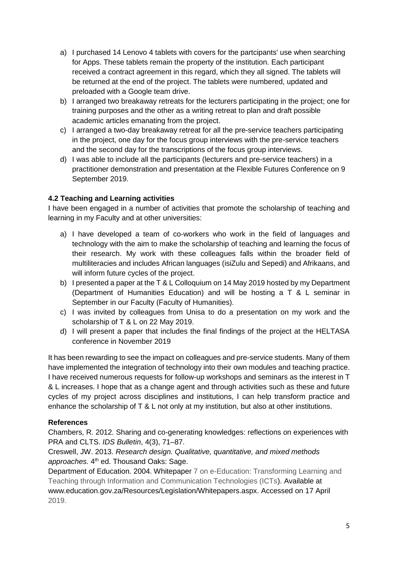- a) I purchased 14 Lenovo 4 tablets with covers for the partcipants' use when searching for Apps. These tablets remain the property of the institution. Each participant received a contract agreement in this regard, which they all signed. The tablets will be returned at the end of the project. The tablets were numbered, updated and preloaded with a Google team drive.
- b) I arranged two breakaway retreats for the lecturers participating in the project; one for training purposes and the other as a writing retreat to plan and draft possible academic articles emanating from the project.
- c) I arranged a two-day breakaway retreat for all the pre-service teachers participating in the project, one day for the focus group interviews with the pre-service teachers and the second day for the transcriptions of the focus group interviews.
- d) I was able to include all the participants (lecturers and pre-service teachers) in a practitioner demonstration and presentation at the Flexible Futures Conference on 9 September 2019.

## **4.2 Teaching and Learning activities**

I have been engaged in a number of activities that promote the scholarship of teaching and learning in my Faculty and at other universities:

- a) I have developed a team of co-workers who work in the field of languages and technology with the aim to make the scholarship of teaching and learning the focus of their research. My work with these colleagues falls within the broader field of multiliteracies and includes African languages (isiZulu and Sepedi) and Afrikaans, and will inform future cycles of the project.
- b) I presented a paper at the T & L Colloquium on 14 May 2019 hosted by my Department (Department of Humanities Education) and will be hosting a T & L seminar in September in our Faculty (Faculty of Humanities).
- c) I was invited by colleagues from Unisa to do a presentation on my work and the scholarship of T & L on 22 May 2019.
- d) I will present a paper that includes the final findings of the project at the HELTASA conference in November 2019

It has been rewarding to see the impact on colleagues and pre-service students. Many of them have implemented the integration of technology into their own modules and teaching practice. I have received numerous requests for follow-up workshops and seminars as the interest in T & L increases. I hope that as a change agent and through activities such as these and future cycles of my project across disciplines and institutions, I can help transform practice and enhance the scholarship of T & L not only at my institution, but also at other institutions.

## **References**

Chambers, R. 2012. Sharing and co-generating knowledges: reflections on experiences with PRA and CLTS. *IDS Bulletin*, 4(3), 71–87.

Creswell, JW. 2013. *Research design. Qualitative, quantitative, and mixed methods*  approaches. 4<sup>th</sup> ed. Thousand Oaks: Sage.

Department of Education. 2004. Whitepaper 7 on e-Education: Transforming Learning and Teaching through Information and Communication Technologies (ICTs). Available at [www.education.gov.za/Resources/Legislation/Whitepapers.aspx.](http://www.education.gov.za/Resources/Legislation/Whitepapers.aspx) Accessed on 17 April 2019.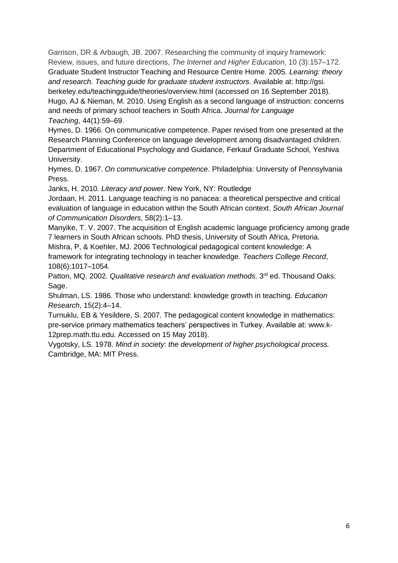Garrison, DR & Arbaugh, JB. 2007. Researching the community of inquiry framework: Review, issues, and future directions, *The Internet and Higher Education*, 10 (3):157–172. Graduate Student Instructor Teaching and Resource Centre Home. 2005. *Learning: theory and research. Teaching guide for graduate student instructors*. Available at: http://gsi. berkeley.edu/teachingguide/theories/overview.html (accessed on 16 September 2018). Hugo, AJ & Nieman, M. 2010. Using English as a second language of instruction: concerns and needs of primary school teachers in South Africa. *Journal for Language Teaching*, 44(1):59–69.

Hymes, D. 1966. On communicative competence. Paper revised from one presented at the Research Planning Conference on language development among disadvantaged children. Department of Educational Psychology and Guidance, Ferkauf Graduate School, Yeshiva University.

Hymes, D. 1967. *On communicative competence*. Philadelphia: University of Pennsylvania Press.

Janks, H. 2010. *Literacy and power*. New York, NY: Routledge

Jordaan, H. 2011. Language teaching is no panacea: a theoretical perspective and critical evaluation of language in education within the South African context. *South African Journal of Communication Disorders,* 58(2):1–13.

Manyike, T. V. 2007. The acquisition of English academic language proficiency among grade 7 learners in South African schools. PhD thesis, University of South Africa, Pretoria.

Mishra, P, & Koehler, MJ. 2006 Technological pedagogical content knowledge: A framework for integrating technology in teacher knowledge. *Teachers College Record*, 108(6):1017–1054.

Patton, MQ. 2002. *Qualitative research and evaluation methods*. 3<sup>rd</sup> ed. Thousand Oaks: Sage.

Shulman, LS. 1986. Those who understand: knowledge growth in teaching. *Education Research*, 15(2):4–14.

Turnuklu, EB & Yesildere, S. 2007. The pedagogical content knowledge in mathematics: pre-service primary mathematics teachers' perspectives in Turkey. Available at: [www.k-](http://www.k-12prep.math.ttu.edu/)[12prep.math.ttu.edu.](http://www.k-12prep.math.ttu.edu/) Accessed on 15 May 2018).

Vygotsky, LS. 1978. *Mind in society*: *the development of higher psychological process.*  Cambridge, MA: MIT Press.